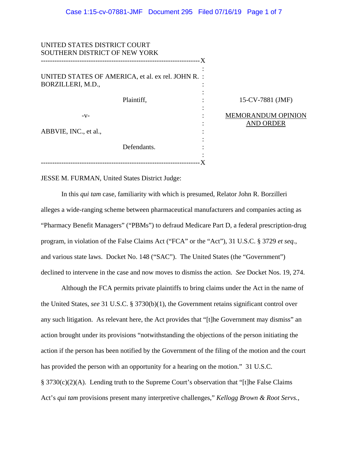| 15-CV-7881 (JMF)          |                                                                               |
|---------------------------|-------------------------------------------------------------------------------|
| <b>MEMORANDUM OPINION</b> |                                                                               |
|                           |                                                                               |
|                           |                                                                               |
|                           | - X<br>UNITED STATES OF AMERICA, et al. ex rel. JOHN R. :<br><b>AND ORDER</b> |

JESSE M. FURMAN, United States District Judge:

In this *qui tam* case, familiarity with which is presumed, Relator John R. Borzilleri alleges a wide-ranging scheme between pharmaceutical manufacturers and companies acting as "Pharmacy Benefit Managers" ("PBMs") to defraud Medicare Part D, a federal prescription-drug program, in violation of the False Claims Act ("FCA" or the "Act"), 31 U.S.C. § 3729 *et seq.*, and various state laws. Docket No. 148 ("SAC"). The United States (the "Government") declined to intervene in the case and now moves to dismiss the action. *See* Docket Nos. 19, 274.

Although the FCA permits private plaintiffs to bring claims under the Act in the name of the United States, *see* 31 U.S.C. § 3730(b)(1), the Government retains significant control over any such litigation. As relevant here, the Act provides that "[t]he Government may dismiss" an action brought under its provisions "notwithstanding the objections of the person initiating the action if the person has been notified by the Government of the filing of the motion and the court has provided the person with an opportunity for a hearing on the motion." 31 U.S.C. § 3730(c)(2)(A). Lending truth to the Supreme Court's observation that "[t]he False Claims Act's *qui tam* provisions present many interpretive challenges," *Kellogg Brown & Root Servs.,*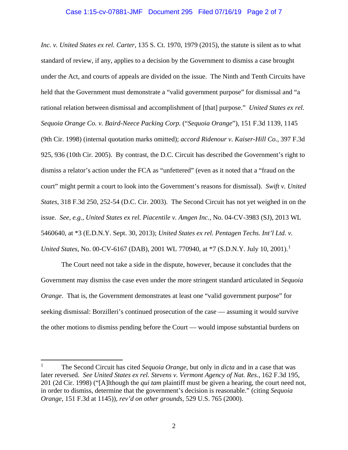### Case 1:15-cv-07881-JMF Document 295 Filed 07/16/19 Page 2 of 7

*Inc. v. United States ex rel. Carter*, 135 S. Ct. 1970, 1979 (2015), the statute is silent as to what standard of review, if any, applies to a decision by the Government to dismiss a case brought under the Act, and courts of appeals are divided on the issue. The Ninth and Tenth Circuits have held that the Government must demonstrate a "valid government purpose" for dismissal and "a rational relation between dismissal and accomplishment of [that] purpose." *United States ex rel. Sequoia Orange Co. v. Baird-Neece Packing Corp.* ("*Sequoia Orange*"), 151 F.3d 1139, 1145 (9th Cir. 1998) (internal quotation marks omitted); *accord Ridenour v. Kaiser-Hill Co.*, 397 F.3d 925, 936 (10th Cir. 2005). By contrast, the D.C. Circuit has described the Government's right to dismiss a relator's action under the FCA as "unfettered" (even as it noted that a "fraud on the court" might permit a court to look into the Government's reasons for dismissal). *Swift v. United States*, 318 F.3d 250, 252-54 (D.C. Cir. 2003). The Second Circuit has not yet weighed in on the issue. *See, e.g.*, *United States ex rel. Piacentile v. Amgen Inc.*, No. 04-CV-3983 (SJ), 2013 WL 5460640, at \*3 (E.D.N.Y. Sept. 30, 2013); *United States ex rel. Pentagen Techs. Int'l Ltd. v. United States*, No. 00-CV-6167 (DAB), 2001 WL 770940, at \*7 (S.D.N.Y. July 10, 2001).<sup>1</sup>

The Court need not take a side in the dispute, however, because it concludes that the Government may dismiss the case even under the more stringent standard articulated in *Sequoia Orange*. That is, the Government demonstrates at least one "valid government purpose" for seeking dismissal: Borzilleri's continued prosecution of the case — assuming it would survive the other motions to dismiss pending before the Court — would impose substantial burdens on

<sup>&</sup>lt;sup>1</sup> The Second Circuit has cited *Sequoia Orange*, but only in *dicta* and in a case that was later reversed. *See United States ex rel. Stevens v. Vermont Agency of Nat. Res.*, 162 F.3d 195, 201 (2d Cir. 1998) ("[A]lthough the *qui tam* plaintiff must be given a hearing, the court need not, in order to dismiss, determine that the government's decision is reasonable." (citing *Sequoia Orange*, 151 F.3d at 1145)), *rev'd on other grounds*, 529 U.S. 765 (2000).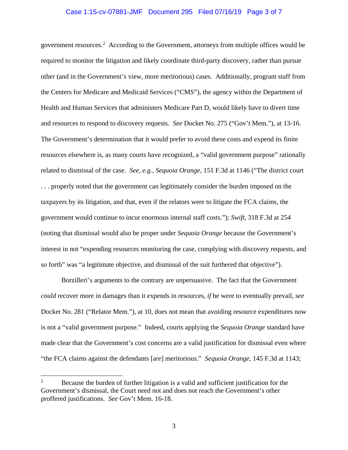# Case 1:15-cv-07881-JMF Document 295 Filed 07/16/19 Page 3 of 7

government resources.<sup>2</sup> According to the Government, attorneys from multiple offices would be required to monitor the litigation and likely coordinate third-party discovery, rather than pursue other (and in the Government's view, more meritorious) cases. Additionally, program staff from the Centers for Medicare and Medicaid Services ("CMS"), the agency within the Department of Health and Human Services that administers Medicare Part D, would likely have to divert time and resources to respond to discovery requests. *See* Docket No. 275 ("Gov't Mem."), at 13-16. The Government's determination that it would prefer to avoid these costs and expend its finite resources elsewhere is, as many courts have recognized, a "valid government purpose" rationally related to dismissal of the case. *See, e.g.*, *Sequoia Orange*, 151 F.3d at 1146 ("The district court . . . properly noted that the government can legitimately consider the burden imposed on the taxpayers by its litigation, and that, even if the relators were to litigate the FCA claims, the government would continue to incur enormous internal staff costs."); *Swift*, 318 F.3d at 254 (noting that dismissal would also be proper under *Sequoia Orange* because the Government's interest in not "expending resources monitoring the case, complying with discovery requests, and so forth" was "a legitimate objective, and dismissal of the suit furthered that objective").

Borzilleri's arguments to the contrary are unpersuasive. The fact that the Government *could* recover more in damages than it expends in resources, *if* he were to eventually prevail, *see*  Docket No. 281 ("Relator Mem."), at 10, does not mean that avoiding resource expenditures now is not a "valid government purpose." Indeed, courts applying the *Sequoia Orange* standard have made clear that the Government's cost concerns are a valid justification for dismissal even where "the FCA claims against the defendants [are] meritorious." *Sequoia Orange*, 145 F.3d at 1143;

 $\frac{1}{2}$  $B_1$ <sup>2</sup> Because the burden of further litigation is a valid and sufficient justification for the Government's dismissal, the Court need not and does not reach the Government's other proffered justifications. *See* Gov't Mem. 16-18.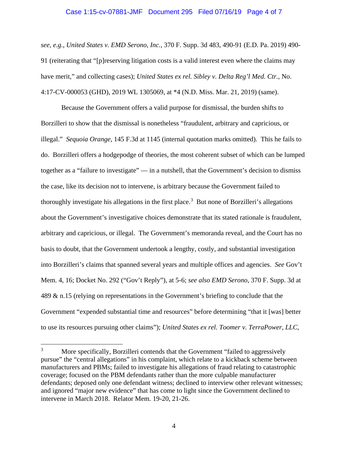#### Case 1:15-cv-07881-JMF Document 295 Filed 07/16/19 Page 4 of 7

*see, e.g.*, *United States v. EMD Serono, Inc.*, 370 F. Supp. 3d 483, 490-91 (E.D. Pa. 2019) 490- 91 (reiterating that "[p]reserving litigation costs is a valid interest even where the claims may have merit," and collecting cases); *United States ex rel. Sibley v. Delta Reg'l Med. Ctr.*, No. 4:17-CV-000053 (GHD), 2019 WL 1305069, at \*4 (N.D. Miss. Mar. 21, 2019) (same).

Because the Government offers a valid purpose for dismissal, the burden shifts to Borzilleri to show that the dismissal is nonetheless "fraudulent, arbitrary and capricious, or illegal." *Sequoia Orange*, 145 F.3d at 1145 (internal quotation marks omitted). This he fails to do. Borzilleri offers a hodgepodge of theories, the most coherent subset of which can be lumped together as a "failure to investigate" — in a nutshell, that the Government's decision to dismiss the case, like its decision not to intervene, is arbitrary because the Government failed to thoroughly investigate his allegations in the first place.<sup>3</sup> But none of Borzilleri's allegations about the Government's investigative choices demonstrate that its stated rationale is fraudulent, arbitrary and capricious, or illegal. The Government's memoranda reveal, and the Court has no basis to doubt, that the Government undertook a lengthy, costly, and substantial investigation into Borzilleri's claims that spanned several years and multiple offices and agencies. *See* Gov't Mem. 4, 16; Docket No. 292 ("Gov't Reply"), at 5-6; *see also EMD Serono*, 370 F. Supp. 3d at 489 & n.15 (relying on representations in the Government's briefing to conclude that the Government "expended substantial time and resources" before determining "that it [was] better to use its resources pursuing other claims"); *United States ex rel. Toomer v. TerraPower, LLC*,

<sup>&</sup>lt;sup>3</sup> More specifically, Borzilleri contends that the Government "failed to aggressively pursue" the "central allegations" in his complaint, which relate to a kickback scheme between manufacturers and PBMs; failed to investigate his allegations of fraud relating to catastrophic coverage; focused on the PBM defendants rather than the more culpable manufacturer defendants; deposed only one defendant witness; declined to interview other relevant witnesses; and ignored "major new evidence" that has come to light since the Government declined to intervene in March 2018. Relator Mem. 19-20, 21-26.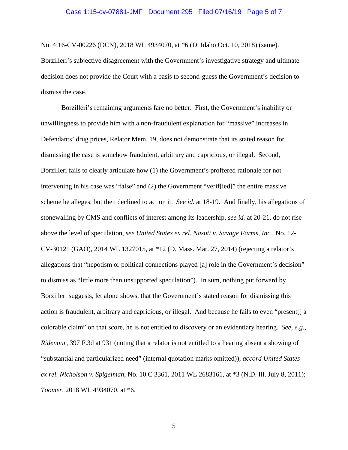# Case 1:15-cv-07881-JMF Document 295 Filed 07/16/19 Page 5 of 7

No. 4:16-CV-00226 (DCN), 2018 WL 4934070, at \*6 (D. Idaho Oct. 10, 2018) (same).

Borzilleri's subjective disagreement with the Government's investigative strategy and ultimate decision does not provide the Court with a basis to second-guess the Government's decision to dismiss the case.

Borzilleri's remaining arguments fare no better. First, the Government's inability or unwillingness to provide him with a non-fraudulent explanation for "massive" increases in Defendants' drug prices, Relator Mem. 19, does not demonstrate that its stated reason for dismissing the case is somehow fraudulent, arbitrary and capricious, or illegal. Second, Borzilleri fails to clearly articulate how (1) the Government's proffered rationale for not intervening in his case was "false" and (2) the Government "verif[ied]" the entire massive scheme he alleges, but then declined to act on it. *See id.* at 18-19. And finally, his allegations of stonewalling by CMS and conflicts of interest among its leadership, *see id.* at 20-21, do not rise above the level of speculation, *see United States ex rel. Nasuti v. Savage Farms, Inc.*, No. 12- CV-30121 (GAO), 2014 WL 1327015, at \*12 (D. Mass. Mar. 27, 2014) (rejecting a relator's allegations that "nepotism or political connections played [a] role in the Government's decision" to dismiss as "little more than unsupported speculation"). In sum, nothing put forward by Borzilleri suggests, let alone shows, that the Government's stated reason for dismissing this action is fraudulent, arbitrary and capricious, or illegal. And because he fails to even "present[] a colorable claim" on that score, he is not entitled to discovery or an evidentiary hearing. *See, e.g.*, *Ridenour*, 397 F.3d at 931 (noting that a relator is not entitled to a hearing absent a showing of "substantial and particularized need" (internal quotation marks omitted)); *accord United States ex rel. Nicholson v. Spigelman*, No. 10 C 3361, 2011 WL 2683161, at \*3 (N.D. Ill. July 8, 2011); *Toomer*, 2018 WL 4934070, at \*6.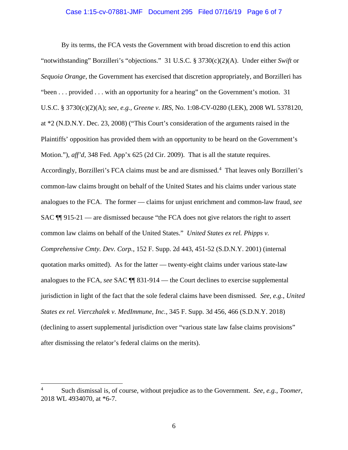# Case 1:15-cv-07881-JMF Document 295 Filed 07/16/19 Page 6 of 7

By its terms, the FCA vests the Government with broad discretion to end this action "notwithstanding" Borzilleri's "objections." 31 U.S.C. § 3730(c)(2)(A). Under either *Swift* or *Sequoia Orange*, the Government has exercised that discretion appropriately, and Borzilleri has "been . . . provided . . . with an opportunity for a hearing" on the Government's motion. 31 U.S.C. § 3730(c)(2)(A); *see, e.g.*, *Greene v. IRS*, No. 1:08-CV-0280 (LEK), 2008 WL 5378120, at \*2 (N.D.N.Y. Dec. 23, 2008) ("This Court's consideration of the arguments raised in the Plaintiffs' opposition has provided them with an opportunity to be heard on the Government's Motion."), *aff'd*, 348 Fed. App'x 625 (2d Cir. 2009). That is all the statute requires. Accordingly, Borzilleri's FCA claims must be and are dismissed.<sup>4</sup> That leaves only Borzilleri's common-law claims brought on behalf of the United States and his claims under various state analogues to the FCA. The former — claims for unjust enrichment and common-law fraud, *see*  SAC ¶¶ 915-21 — are dismissed because "the FCA does not give relators the right to assert common law claims on behalf of the United States." *United States ex rel. Phipps v. Comprehensive Cmty. Dev. Corp.*, 152 F. Supp. 2d 443, 451-52 (S.D.N.Y. 2001) (internal quotation marks omitted). As for the latter — twenty-eight claims under various state-law analogues to the FCA, *see* SAC ¶¶ 831-914 — the Court declines to exercise supplemental jurisdiction in light of the fact that the sole federal claims have been dismissed. *See, e.g.*, *United States ex rel. Vierczhalek v. MedImmune, Inc.*, 345 F. Supp. 3d 456, 466 (S.D.N.Y. 2018) (declining to assert supplemental jurisdiction over "various state law false claims provisions" after dismissing the relator's federal claims on the merits).

 $\frac{1}{4}$  Such dismissal is, of course, without prejudice as to the Government. *See, e.g.*, *Toomer*, 2018 WL 4934070, at \*6-7.